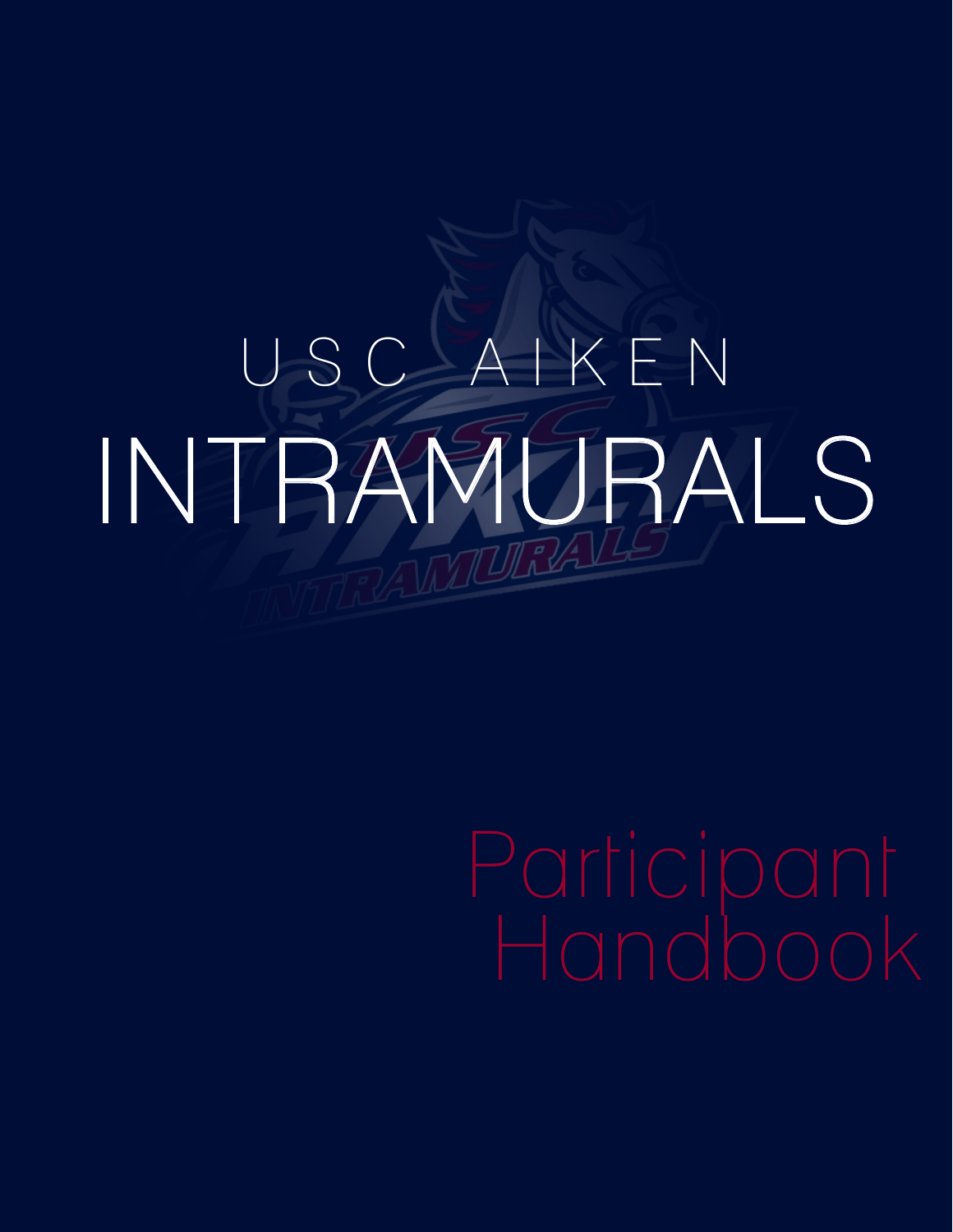# USC AIKEN INTRAMURALS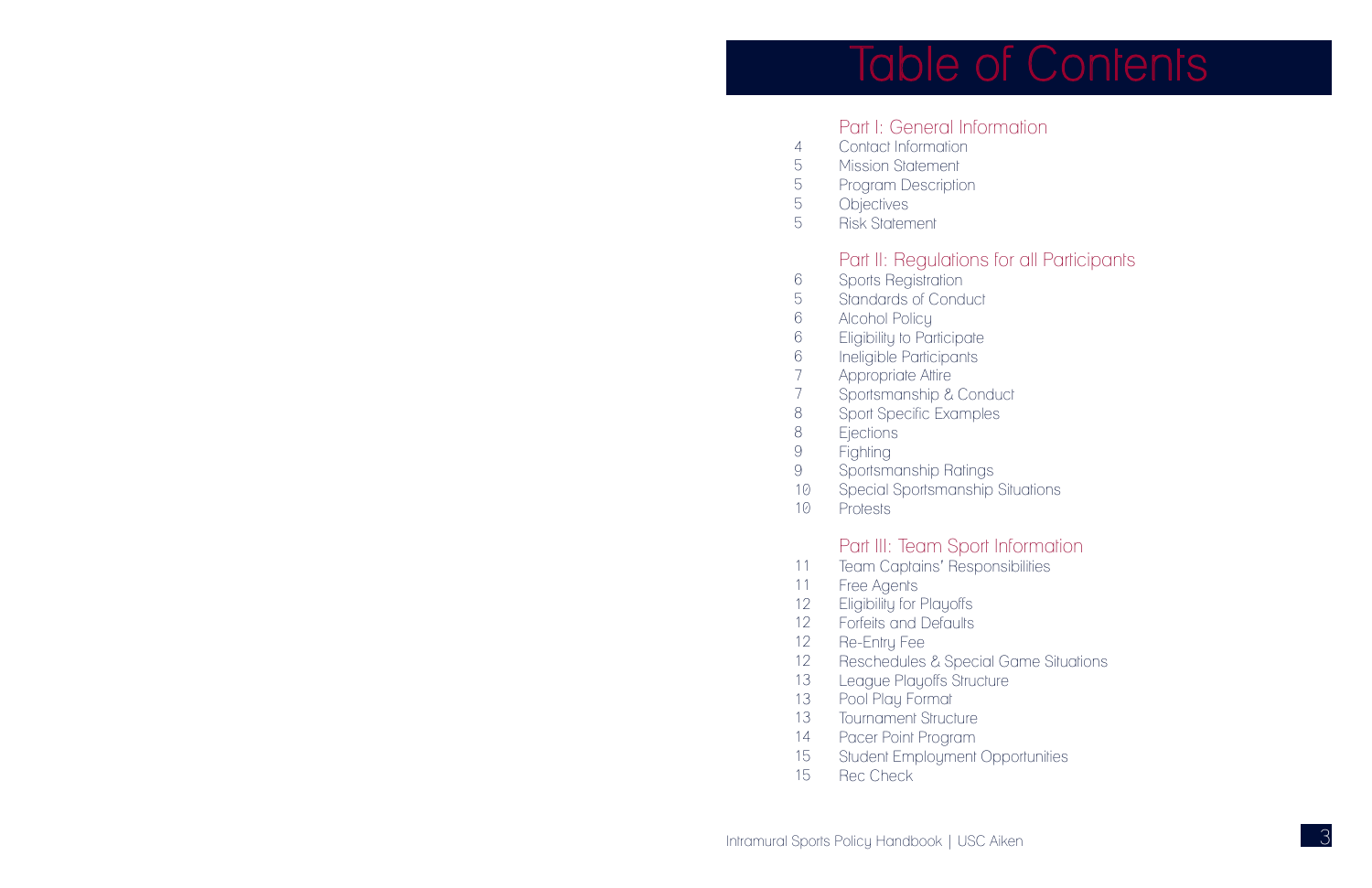



## Part I: General Information

- Sports Registration Standards of Conduct
- Alcohol Policy
- Eligibility to Participate
- Ineligible Participants
- Appropriate Attire
- Sportsmanship & Conduct 7
- Sport Specific Examples 8
	- **Ejections**
- Fighting 9
- Sportsmanship Ratings 9
- Special Sportsmanship Situations 10
- Protests  $1<sup>o</sup>$

#### Part II: Regulations for all Participants

- Contact Information **Mission Statement**
- Program Description
- **Objectives** 5

Risk Statement 5

#### Part III: Team Sport Information

- Team Captains' Responsibilities 11
- Free Agents 11
- Eligibility for Playoffs 12
- Forfeits and Defaults 12
- Re-Entry Fee 12
- Reschedules & Special Game Situations 12
- League Playoffs Structure 13
- Pool Play Format 13
- **Tournament Structure** 13
- Pacer Point Program 14
- Student Employment Opportunities 15
- Rec Check 15

4 5 5

8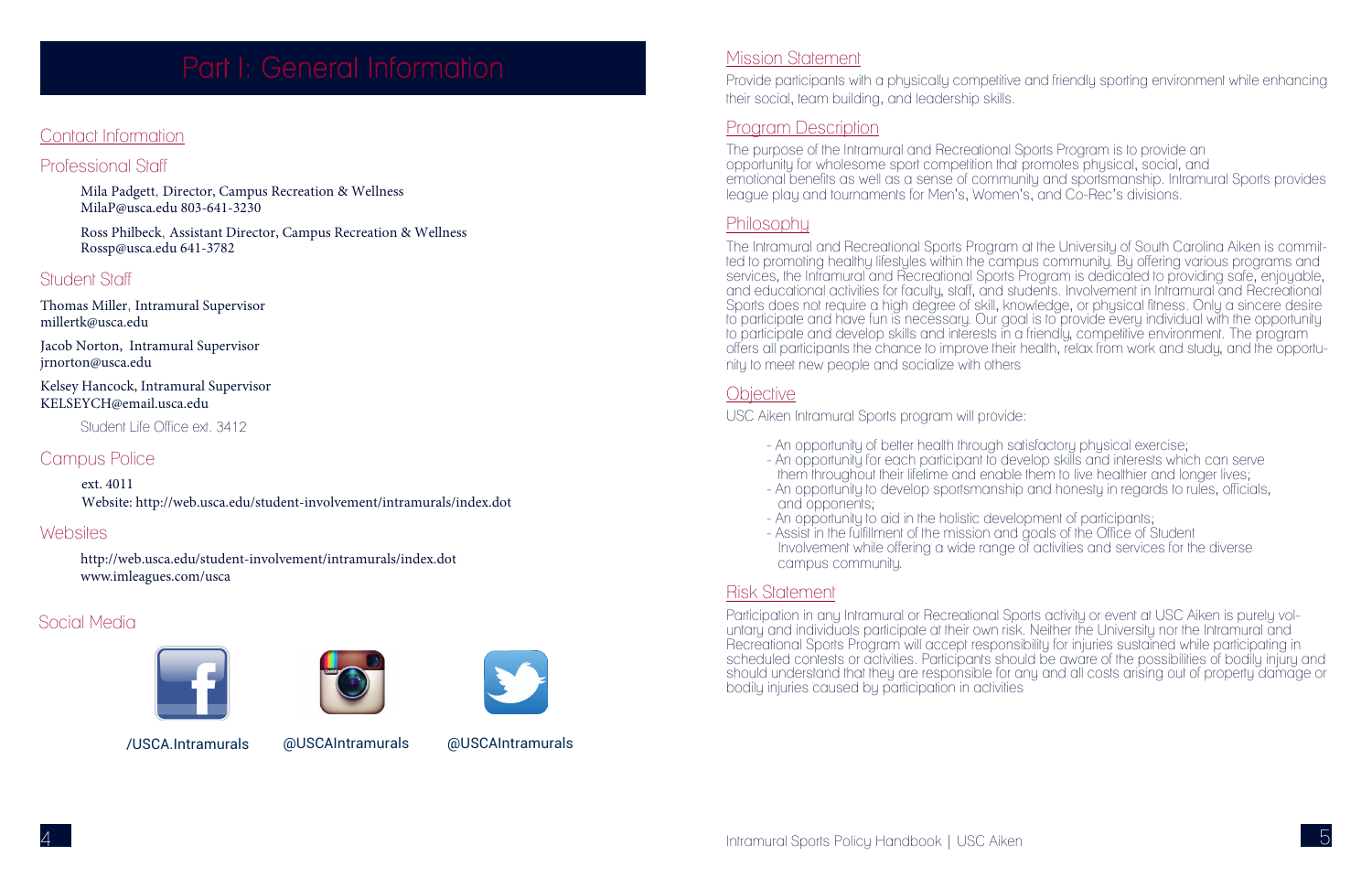#### Mission Statement

Provide participants with a physically competitive and friendly sporting environment while enhancing their social, team building, and leadership skills.

#### Program Description

The purpose of the Intramural and Recreational Sports Program is to provide an opportunity for wholesome sport competition that promotes physical, social, and emotional benefits as well as a sense of community and sportsmanship. Intramural Sports provides league play and tournaments for Men's, Women's, and Co-Rec's divisions.

#### Philosophy

The Intramural and Recreational Sports Program at the University of South Carolina Aiken is committed to promoting healthy lifestyles within the campus community. By offering various programs and services, the Intramural and Recreational Sports Program is dedicated to providing safe, enjoyable, and educational activities for faculty, staff, and students. Involvement in Intramural and Recreational Sports does not require a high degree of skill, knowledge, or physical fitness. Only a sincere desire to participate and have fun is necessary. Our goal is to provide every individual with the opportunity to participate and develop skills and interests in a friendly, competitive environment. The program offers all participants the chance to improve their health, relax from work and study, and the opportunity to meet new people and socialize with others

#### **Objective**

- An opportunity of better health through satisfactory physical exercise;
- 
- and opponents;
- An opportunity to aid in the holistic development of participants;
- Assist in the fulfillment of the mission and goals of the Office of Student campus community.

USC Aiken Intramural Sports program will provide:

- An opportunity for each participant to develop skills and interests which can serve them throughout their lifetime and enable them to live healthier and longer lives; - An opportunity to develop sportsmanship and honesty in regards to rules, officials,

Involvement while offering a wide range of activities and services for the diverse

#### Risk Statement

Participation in any Intramural or Recreational Sports activity or event at USC Aiken is purely voluntary and individuals participate at their own risk. Neither the University nor the Intramural and Recreational Sports Program will accept responsibility for injuries sustained while participating in scheduled contests or activities. Participants should be aware of the possibilities of bodily injury and should understand that they are responsible for any and all costs arising out of property damage or bodily injuries caused by participation in activities

## Contact Information

# Professional Staff

- Mila Padgett, Director, Campus Recreation & Wellness MilaP@usca.edu 803-641-3230
- Ross Philbeck, Assistant Director, Campus Recreation & Wellness Rossp@usca.edu 641-3782

# Student Staff

Thomas Miller, Intramural Supervisor millertk@usca.edu

Jacob Norton, Intramural Supervisor jrnorton@usca.edu

Kelsey Hancock, Intramural Supervisor KELSEYCH@email.usca.edu

Student Life Office ext. 3412

# Campus Police

ext. 4011 Website: http://web.usca.edu/student-involvement/intramurals/index.dot

# Websites

http://web.usca.edu/student-involvement/intramurals/index.dot www.imleagues.com/usca

## Social Media







/USCA.Intramurals @USCAIntramurals @USCAIntramurals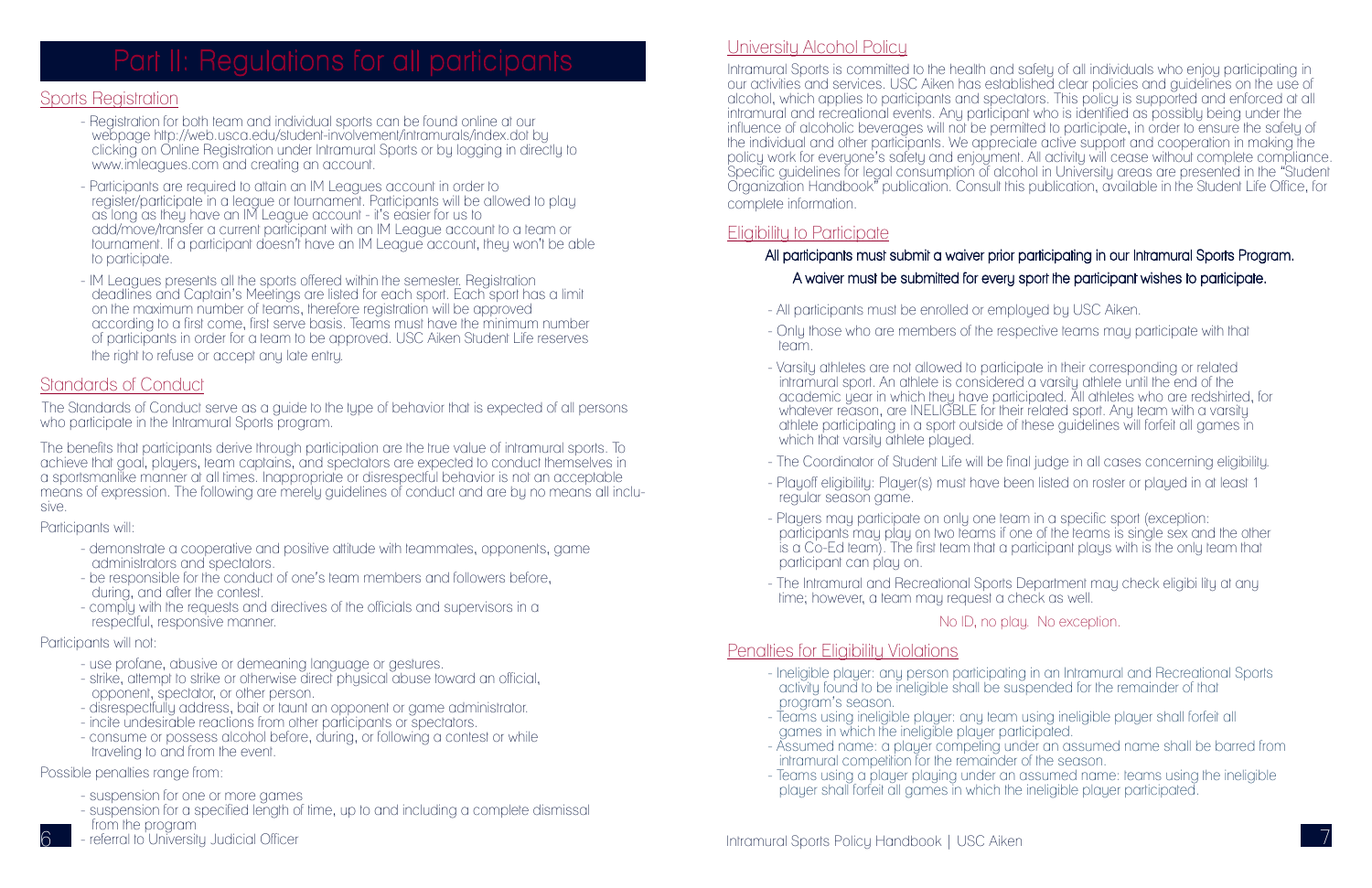#### Sports Registration

- Registration for both team and individual sports can be found online at our webpage http://web.usca.edu/student-involvement/intramurals/index.dot by clicking on Online Registration under Intramural Sports or by logging in directly to www.imleagues.com and creating an account.
- Participants are required to attain an IM Leagues account in order to register/participate in a league or tournament. Participants will be allowed to play as long as they have an IM League account - it's easier for us to add/move/transfer a current participant with an IM League account to a team or tournament. If a participant doesn't have an IM League account, they won't be able to participate.
- IM Leagues presents all the sports offered within the semester. Registration deadlines and Captain's Meetings are listed for each sport. Each sport has a limit on the maximum number of teams, therefore registration will be approved according to a first come, first serve basis. Teams must have the minimum number of participants in order for a team to be approved. USC Aiken Student Life reserves the right to refuse or accept any late entry.

#### Standards of Conduct

The Standards of Conduct serve as a guide to the type of behavior that is expected of all persons who participate in the Intramural Sports program.

#### University Alcohol Policy Ī

The benefits that participants derive through participation are the true value of intramural sports. To achieve that goal, players, team captains, and spectators are expected to conduct themselves in a sportsmanlike manner at all times. Inappropriate or disrespectful behavior is not an acceptable means of expression. The following are merely guidelines of conduct and are by no means all inclusive.

Participants will:

Intramural Sports is committed to the health and safety of all individuals who enjoy participating in our activities and services. USC Aiken has established clear policies and guidelines on the use of alcohol, which applies to participants and spectators. This policy is supported and enforced at all intramural and recreational events. Any participant who is identified as possibly being under the influence of alcoholic beverages will not be permitted to participate, in order to ensure the safety of the individual and other participants. We appreciate active support and cooperation in making the policy work for everyone's safety and enjoyment. All activity will cease without complete compliance. Specific guidelines for legal consumption of alcohol in University areas are presented in the "Student Organization Handbook" publication. Consult this publication, available in the Student Life Office, for complete information.

- demonstrate a cooperative and positive attitude with teammates, opponents, game administrators and spectators.
- be responsible for the conduct of one's team members and followers before, during, and after the contest.
- comply with the requests and directives of the officials and supervisors in a respectful, responsive manner.

Participants will not:

- use profane, abusive or demeaning language or gestures.
- strike, attempt to strike or otherwise direct physical abuse toward an official, opponent, spectator, or other person.
- disrespectfully address, bait or taunt an opponent or game administrator.
- incite undesirable reactions from other participants or spectators.
- consume or possess alcohol before, during, or following a contest or while traveling to and from the event.

Possible penalties range from:

- suspension for one or more games
- suspension for a specified length of time, up to and including a complete dismissal from the program
- referral to University Judicial Officer

## Eligibility to Participate

#### All participants must submit a waiver prior participating in our Intramural Sports Program. A waiver must be submitted for every sport the participant wishes to participate.

- Only those who are members of the respective teams may participate with that

academic year in which they have participated. All athletes who are redshirted, for whatever reason, are INELIGBLE for their related sport. Any team with a varsity athlete participating in a sport outside of these guidelines will forfeit all games in

- All participants must be enrolled or employed by USC Aiken.
- team.
- Varsity athletes are not allowed to participate in their corresponding or related intramural sport. An athlete is considered a varsity athlete until the end of the which that varsity athlete played.
- 
- regular season game.
- Players may participate on only one team in a specific sport (exception: participant can play on.
- time; however, a team may request a check as well.

- The Coordinator of Student Life will be final judge in all cases concerning eligibility. - Playoff eligibility: Player(s) must have been listed on roster or played in at least 1

participants may play on two teams if one of the teams is single sex and the other is a Co-Ed team). The first team that a participant plays with is the only team that

- The Intramural and Recreational Sports Department may check eligibi lity at any

No ID, no play. No exception.

#### Penalties for Eligibility Violations

- Ineligible player: any person participating in an Intramural and Recreational Sports

- Teams using ineligible player: any team using ineligible player shall forfeit all

- activity found to be ineligible shall be suspended for the remainder of that program's season.
- games in which the ineligible player participated.
- intramural competition for the remainder of the season.
- player shall forfeit all games in which the ineligible player participated.

- Assumed name: a player competing under an assumed name shall be barred from

- Teams using a player playing under an assumed name: teams using the ineligible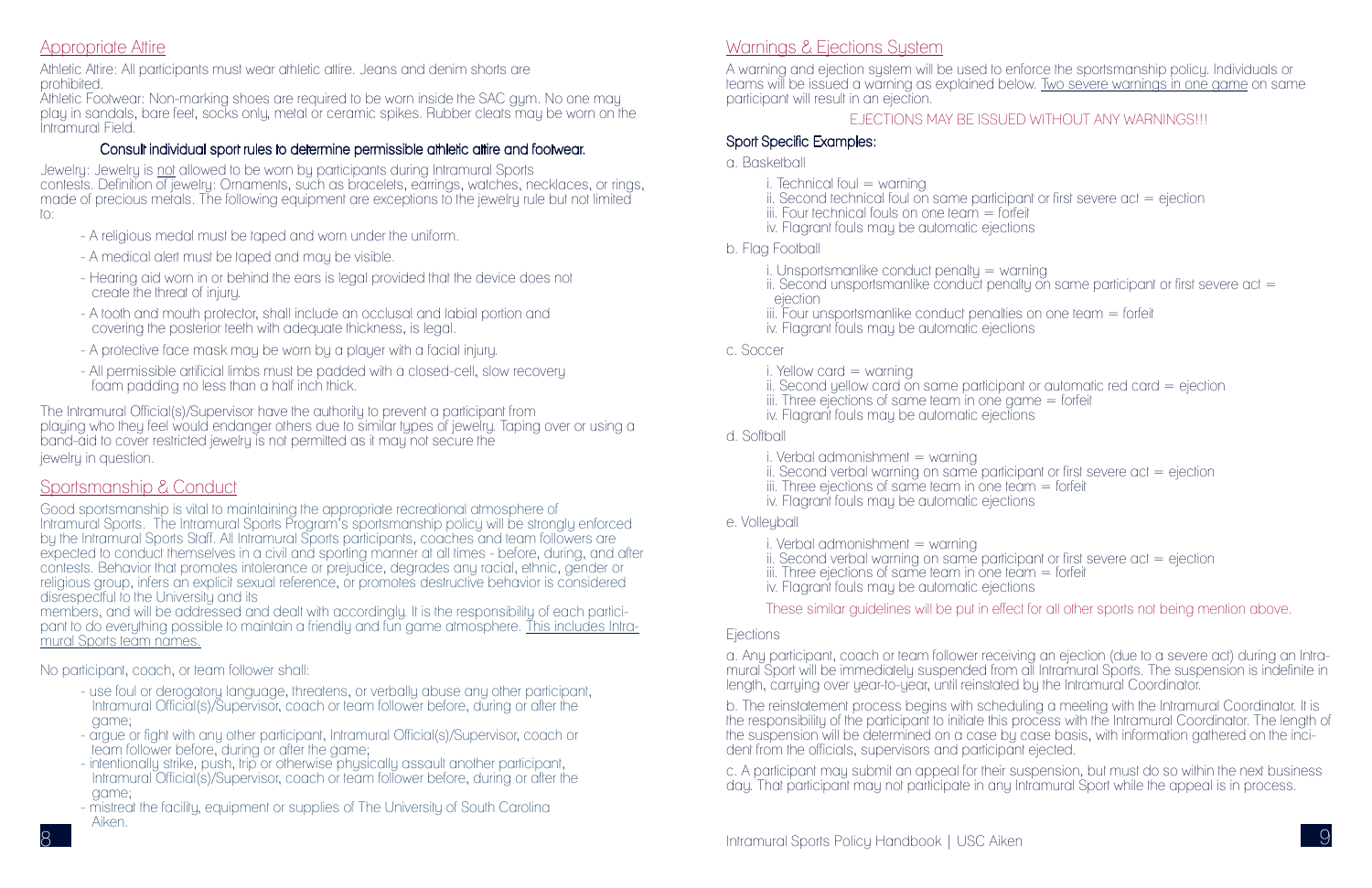# Appropriate Attire

Athletic Attire: All participants must wear athletic attire. Jeans and denim shorts are prohibited.

Athletic Footwear: Non-marking shoes are required to be worn inside the SAC gym. No one may play in sandals, bare feet, socks only, metal or ceramic spikes. Rubber cleats may be worn on the Intramural Field.

#### Consult individual sport rules to determine permissible athletic attire and footwear.

Jewelry: Jewelry is not allowed to be worn by participants during Intramural Sports contests. Definition of jewelry: Ornaments, such as bracelets, earrings, watches, necklaces, or rings, made of precious metals. The following equipment are exceptions to the jewelry rule but not limited to:

- A religious medal must be taped and worn under the uniform.
- A medical alert must be taped and may be visible.
- Hearing aid worn in or behind the ears is legal provided that the device does not create the threat of injury.
- A tooth and mouth protector, shall include an occlusal and labial portion and covering the posterior teeth with adequate thickness, is legal.
- A protective face mask may be worn by a player with a facial injury.
- All permissible artificial limbs must be padded with a closed-cell, slow recovery foam padding no less than a half inch thick.

The Intramural Official(s)/Supervisor have the authority to prevent a participant from playing who they feel would endanger others due to similar types of jewelry. Taping over or using a band-aid to cover restricted jewelry is not permitted as it may not secure the jewelry in question.

# Sportsmanship & Conduct

Good sportsmanship is vital to maintaining the appropriate recreational atmosphere of Intramural Sports. The Intramural Sports Program's sportsmanship policy will be strongly enforced by the Intramural Sports Staff. All Intramural Sports participants, coaches and team followers are expected to conduct themselves in a civil and sporting manner at all times - before, during, and after contests. Behavior that promotes intolerance or prejudice, degrades any racial, ethnic, gender or religious group, infers an explicit sexual reference, or promotes destructive behavior is considered disrespectful to the University and its

- i. Technical foul  $=$  warning
- ii. Second technical foul on same participant or first severe  $act = ejection$
- iii. Four technical fouls on one team = forfeit
- iv. Flagrant fouls may be automatic ejections
- 
- b. Flag Football i. Unsportsmanlike conduct penalty = warning
	-
	- ejection
	- $iii.$  Four unsportsmanlike conduct penalties on one team  $=$  forfeit
	- iv. Flagrant fouls may be automatic ejections
- c. Soccer
	- i. Yellow card  $=$  warning
	- ii. Second yellow card on same participant or automatic red card = ejection
	- $\theta$ iii. Three ejections of same team in one game  $=$  forfeit
	- iv. Flagrant fouls may be automatic ejections
- d. Softball
	- i. Verbal admonishment = warning
	- ii. Second verbal warning on same participant or first severe  $act = ejection$
	- $\overline{\mathbf{u}}$ . Three ejections of same team in one team  $=$  forfeit
	- iv. Flagrant fouls may be automatic ejections
- 
- e. Volleyball i. Verbal admonishment = warning
	- ii. Second verbal warning on same participant or first severe  $act = ejection$
	- $\ddot{\text{iii}}$ . Three ejections of same team in one team  $=$  forfeit
	- iv. Flagrant fouls may be automatic ejections

members, and will be addressed and dealt with accordingly. It is the responsibility of each participant to do everything possible to maintain a friendly and fun game atmosphere. This includes Intramural Sports team names.

No participant, coach, or team follower shall:

- use foul or derogatory language, threatens, or verbally abuse any other participant, Intramural Official(s)/Supervisor, coach or team follower before, during or after the game;
- argue or fight with any other participant, Intramural Official(s)/Supervisor, coach or team follower before, during or after the game;
- intentionally strike, push, trip or otherwise physically assault another participant, Intramural Official(s)/Supervisor, coach or team follower before, during or after the game;
- mistreat the facility, equipment or supplies of The University of South Carolina Aiken.

#### Warnings & Ejections System

A warning and ejection system will be used to enforce the sportsmanship policy. Individuals or teams will be issued a warning as explained below. Two severe warnings in one game on same participant will result in an ejection.

# EJECTIONS MAY BE ISSUED WITHOUT ANY WARNINGS!!!<br>Sport Specific Examples:

a. Basketball

These similar guidelines will be put in effect for all other sports not being mention above.

Ejections

a. Any participant, coach or team follower receiving an ejection (due to a severe act) during an Intramural Sport will be immediately suspended from all Intramural Sports. The suspension is indefinite in length, carrying over year-to-year, until reinstated by the Intramural Coordinator.

b. The reinstatement process begins with scheduling a meeting with the Intramural Coordinator. It is the responsibility of the participant to initiate this process with the Intramural Coordinator. The length of the suspension will be determined on a case by case basis, with information gathered on the incident from the officials, supervisors and participant ejected.

c. A participant may submit an appeal for their suspension, but must do so within the next business day. That participant may not participate in any Intramural Sport while the appeal is in process.

ii. Second unsportsmanlike conduct penalty on same participant or first severe act  $=$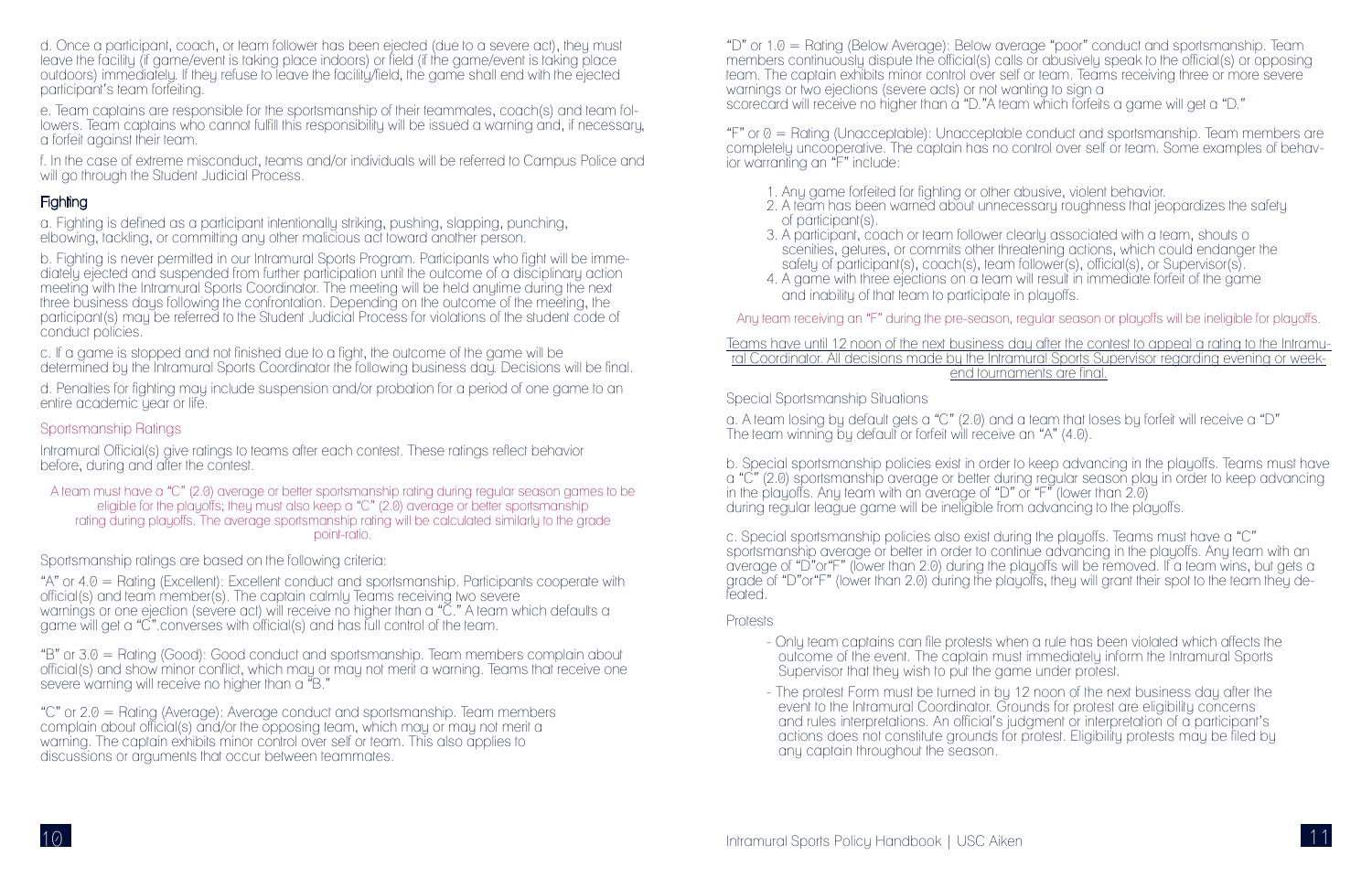d. Once a participant, coach, or team follower has been ejected (due to a severe act), they must leave the facility (if game/event is taking place indoors) or field (if the game/event is taking place outdoors) immediately. If they refuse to leave the facility/field, the game shall end with the ejected participant's team forfeiting.

f. In the case of extreme misconduct, teams and/or individuals will be referred to Campus Police and will go through the Student Judicial Process.

#### **Fighting**

e. Team captains are responsible for the sportsmanship of their teammates, coach(s) and team followers. Team captains who cannot fulfill this responsibility will be issued a warning and, if necessary, a forfeit against their team.

b. Fighting is never permitted in our Intramural Sports Program. Participants who fight will be immediately ejected and suspended from further participation until the outcome of a disciplinary action meeting with the Intramural Sports Coordinator. The meeting will be held anytime during the next three business days following the confrontation. Depending on the outcome of the meeting, the participant(s) may be referred to the Student Judicial Process for violations of the student code of conduct policies.

a. Fighting is defined as a participant intentionally striking, pushing, slapping, punching, elbowing, tackling, or committing any other malicious act toward another person.

Intramural Official(s) give ratings to teams after each contest. These ratings reflect behavior before, during and after the contest.

"A" or 4.0 = Rating (Excellent): Excellent conduct and sportsmanship. Participants cooperate with official(s) and team member(s). The captain calmly Teams receiving two severe warnings or one ejection (severe act) will receive no higher than a "C." A team which defaults a game will get a "C".converses with official(s) and has full control of the team.

c. If a game is stopped and not finished due to a fight, the outcome of the game will be determined by the Intramural Sports Coordinator the following business day. Decisions will be final.

d. Penalties for fighting may include suspension and/or probation for a period of one game to an entire academic year or life.

## Sportsmanship Ratings

"F" or  $\theta$  = Rating (Unacceptable): Unacceptable conduct and sportsmanship. Team members are completely uncooperative. The captain has no control over self or team. Some examples of behavior warranting an "F" include:

A team must have a "C" (2.0) average or better sportsmanship rating during regular season games to be eligible for the playoffs; they must also keep a "C" (2.0) average or better sportsmanship rating during playoffs. The average sportsmanship rating will be calculated similarly to the grade point-ratio.

Sportsmanship ratings are based on the following criteria:

"B" or 3.0 = Rating (Good): Good conduct and sportsmanship. Team members complain about official(s) and show minor conflict, which may or may not merit a warning. Teams that receive one severe warning will receive no higher than a "B."

"C" or 2.0 = Rating (Average): Average conduct and sportsmanship. Team members complain about official(s) and/or the opposing team, which may or may not merit a warning. The captain exhibits minor control over self or team. This also applies to discussions or arguments that occur between teammates.

- Supervisor that they wish to put the game under protest.
- any captain throughout the season.

"D" or 1.0 = Rating (Below Average): Below average "poor" conduct and sportsmanship. Team members continuously dispute the official(s) calls or abusively speak to the official(s) or opposing team. The captain exhibits minor control over self or team. Teams receiving three or more severe warnings or two ejections (severe acts) or not wanting to sign a scorecard will receive no higher than a "D."A team which forfeits a game will get a "D."

1. Any game forfeited for fighting or other abusive, violent behavior. 2. A team has been warned about unnecessary roughness that jeopardizes the safety

- 
- of participant(s).
- 3. A participant, coach or team follower clearly associated with a team, shouts o
- and inability of that team to participate in playoffs.

scenities, getures, or commits other threatening actions, which could endanger the safety of participant(s), coach(s), team follower(s), official(s), or Supervisor(s). 4. A game with three ejections on a team will result in immediate forfeit of the game

Any team receiving an "F" during the pre-season, regular season or playoffs will be ineligible for playoffs.

Teams have until 12 noon of the next business day after the contest to appeal a rating to the Intramural Coordinator. All decisions made by the Intramural Sports Supervisor regarding evening or weekend tournaments are final.

Special Sportsmanship Situations

a. A team losing by default gets a "C" (2.0) and a team that loses by forfeit will receive a "D" The team winning by default or forfeit will receive an "A" (4.0).

b. Special sportsmanship policies exist in order to keep advancing in the playoffs. Teams must have a "C" (2.0) sportsmanship average or better during regular season play in order to keep advancing in the playoffs. Any team with an average of "D" or "F" (lower than 2.0) during regular league game will be ineligible from advancing to the playoffs.

c. Special sportsmanship policies also exist during the playoffs. Teams must have a "C" sportsmanship average or better in order to continue advancing in the playoffs. Any team with an average of "D"or"F" (lower than 2.0) during the playoffs will be removed. If a team wins, but gets a grade of "D"or"F" (lower than 2.0) during the playoffs, they will grant their spot to the team they defeated.

## Protests

- Only team captains can file protests when a rule has been violated which affects the outcome of the event. The captain must immediately inform the Intramural Sports

- The protest Form must be turned in by 12 noon of the next business day after the event to the Intramural Coordinator. Grounds for protest are eligibility concerns and rules interpretations. An official's judgment or interpretation of a participant's actions does not constitute grounds for protest. Eligibility protests may be filed by

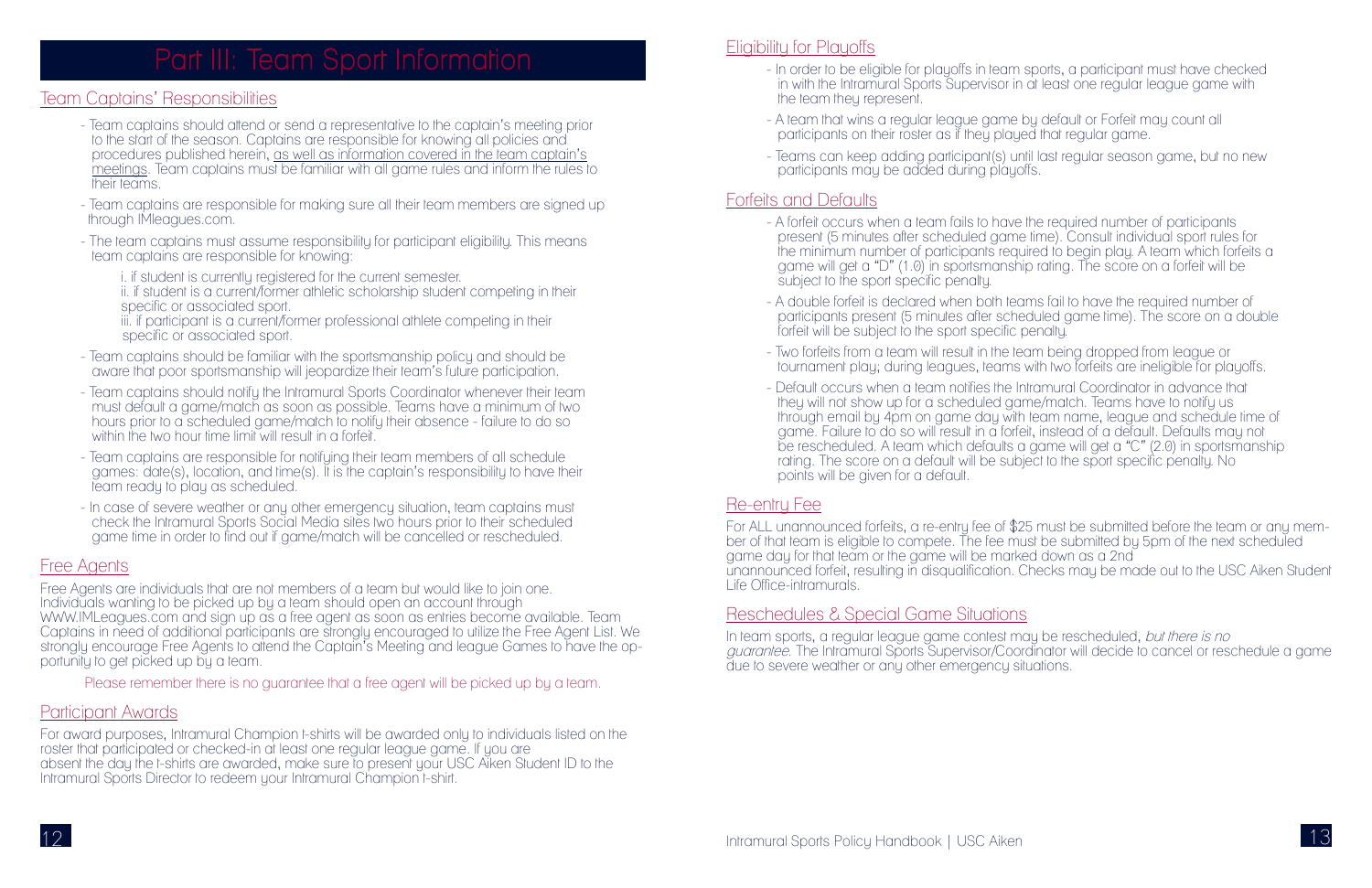#### Team Captains' Responsibilities

- Team captains should attend or send a representative to the captain's meeting prior to the start of the season. Captains are responsible for knowing all policies and procedures published herein, as well as information covered in the team captain's meetings. Team captains must be familiar with all game rules and inform the rules to their teams.
- Team captains are responsible for making sure all their team members are signed up through IMleagues.com.
- The team captains must assume responsibility for participant eligibility. This means team captains are responsible for knowing:
	- i. if student is currently registered for the current semester.
	- ii. if student is a current/former athletic scholarship student competing in their specific or associated sport.
	- iii. if participant is a current/former professional athlete competing in their specific or associated sport.
- Team captains should be familiar with the sportsmanship policy and should be aware that poor sportsmanship will jeopardize their team's future participation.
- Team captains should notify the Intramural Sports Coordinator whenever their team must default a game/match as soon as possible. Teams have a minimum of two hours prior to a scheduled game/match to notify their absence - failure to do so within the two hour time limit will result in a forfeit.
- Team captains are responsible for notifying their team members of all schedule games: date(s), location, and time(s). It is the captain's responsibility to have their team ready to play as scheduled.
- In case of severe weather or any other emergency situation, team captains must check the Intramural Sports Social Media sites two hours prior to their scheduled game time in order to find out if game/match will be cancelled or rescheduled.

For award purposes, Intramural Champion t-shirts will be awarded only to individuals listed on the roster that participated or checked-in at least one regular league game. If you are absent the day the t-shirts are awarded, make sure to present your USC Aiken Student ID to the Intramural Sports Director to redeem your Intramural Champion t-shirt.

#### **Eligibility for Playoffs**

## Free Agents

Free Agents are individuals that are not members of a team but would like to join one. Individuals wanting to be picked up by a team should open an account through WWW.IMLeagues.com and sign up as a free agent as soon as entries become available. Team Captains in need of additional participants are strongly encouraged to utilize the Free Agent List. We strongly encourage Free Agents to attend the Captain's Meeting and league Games to have the opportunity to get picked up by a team.

Please remember there is no guarantee that a free agent will be picked up by a team.

## Participant Awards

For ALL unannounced forfeits, a re-entry fee of \$25 must be submitted before the team or any member of that team is eligible to compete. The fee must be submitted by 5pm of the next scheduled game day for that team or the game will be marked down as a 2nd unannounced forfeit, resulting in disqualification. Checks may be made out to the USC Aiken Student Life Office-intramurals.

In team sports, a regular league game contest may be rescheduled, but there is no guarantee. The Intramural Sports Supervisor/Coordinator will decide to cancel or reschedule a game due to severe weather or any other emergency situations.

- In order to be eligible for playoffs in team sports, a participant must have checked in with the Intramural Sports Supervisor in at least one regular league game with

- the team they represent.
- A team that wins a regular league game by default or Forfeit may count all participants on their roster as if they played that regular game.
- participants may be added during playoffs.

- Teams can keep adding participant(s) until last regular season game, but no new

#### Forfeits and Defaults

present (5 minutes after scheduled game time). Consult individual sport rules for the minimum number of participants required to begin play. A team which forfeits a game will get a "D" (1.0) in sportsmanship rating. The score on a forfeit will be

- A double forfeit is declared when both teams fail to have the required number of participants present (5 minutes after scheduled game time). The score on a double

- A forfeit occurs when a team fails to have the required number of participants subject to the sport specific penalty.
- forfeit will be subject to the sport specific penalty.
- Two forfeits from a team will result in the team being dropped from league or
- Default occurs when a team notifies the Intramural Coordinator in advance that they will not show up for a scheduled game/match. Teams have to notify us rating. The score on a default will be subject to the sport specific penalty. No points will be given for a default.

tournament play; during leagues, teams with two forfeits are ineligible for playoffs.

through email by 4pm on game day with team name, league and schedule time of game. Failure to do so will result in a forfeit, instead of a default. Defaults may not be rescheduled. A team which defaults a game will get a "C" (2.0) in sportsmanship



#### Re-entry Fee

## Reschedules & Special Game Situations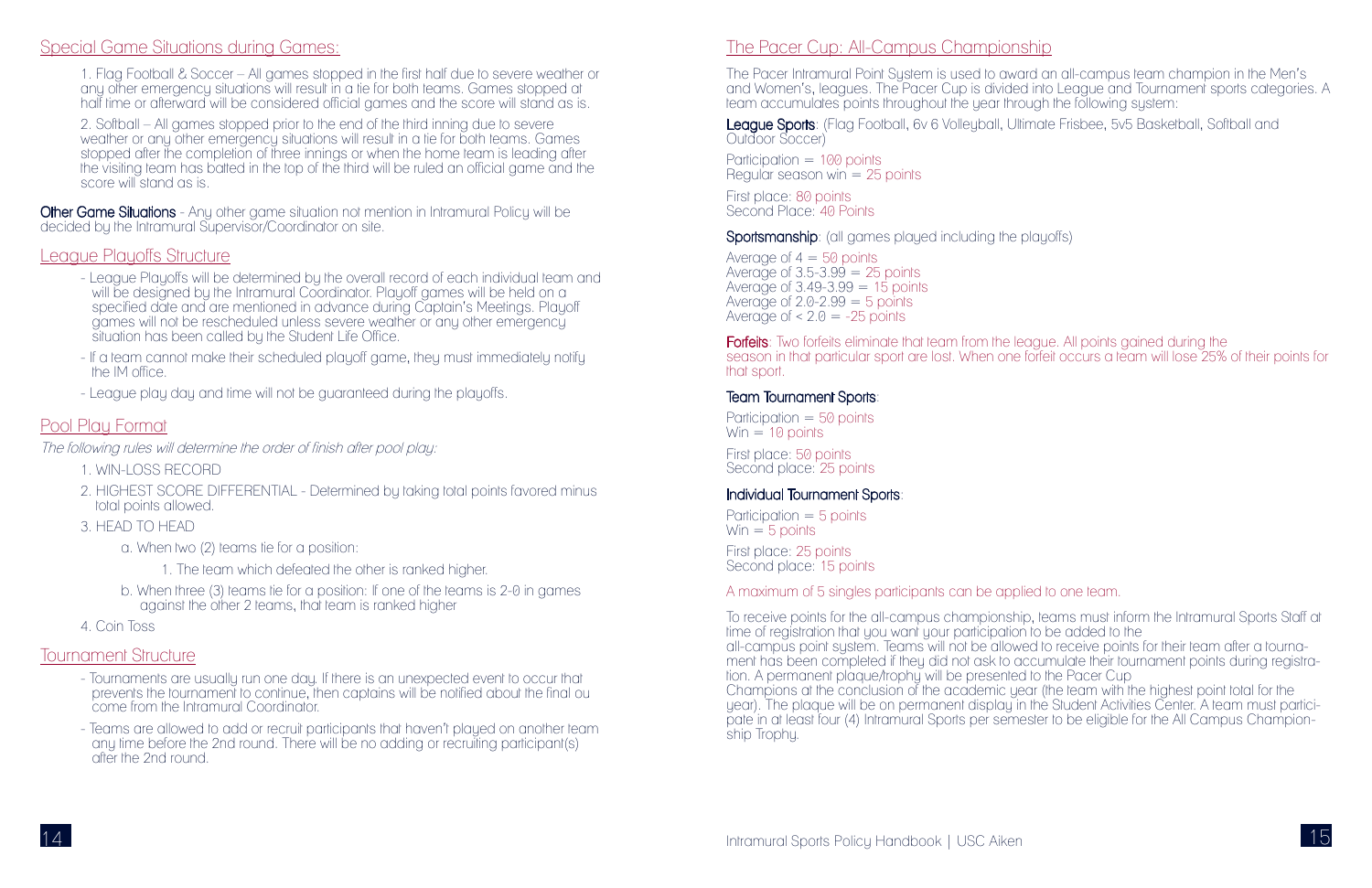#### Special Game Situations during Games:

1. Flag Football & Soccer – All games stopped in the first half due to severe weather or any other emergency situations will result in a tie for both teams. Games stopped at half time or afterward will be considered official games and the score will stand as is.

2. Softball – All games stopped prior to the end of the third inning due to severe weather or any other emergency situations will result in a tie for both teams. Games stopped after the completion of three innings or when the home team is leading after the visiting team has batted in the top of the third will be ruled an official game and the score will stand as is.

Other Game Situations - Any other game situation not mention in Intramural Policy will be decided by the Intramural Supervisor/Coordinator on site.

#### League Playoffs Structure

- League Playoffs will be determined by the overall record of each individual team and will be designed by the Intramural Coordinator. Playoff games will be held on a specified date and are mentioned in advance during Captain's Meetings. Playoff games will not be rescheduled unless severe weather or any other emergency situation has been called by the Student Life Office.
- If a team cannot make their scheduled playoff game, they must immediately notify the IM office.
- League play day and time will not be guaranteed during the playoffs.

League Sports: (Flag Football, 6y 6 Volleyball, Ultimate Frisbee, 5y5 Basketball, Softball and Outdoor Soccer)

Participation = 100 points Regular season win  $= 25$  points

#### Pool Play Format

The following rules will determine the order of finish after pool play:

**Forfeits**: Two forfeits eliminate that team from the league. All points gained during the season in that particular sport are lost. When one forfeit occurs a team will lose 25% of their points for that sport.

- 1. WIN-LOSS RECORD
- 2. HIGHEST SCORE DIFFERENTIAL Determined by taking total points favored minus total points allowed.
- 3. HEAD TO HEAD
	- a. When two (2) teams tie for a position:
		- 1. The team which defeated the other is ranked higher.
	- b. When three (3) teams tie for a position: If one of the teams is 2-0 in games against the other 2 teams, that team is ranked higher
- 4. Coin Toss

#### Tournament Structure

- Tournaments are usually run one day. If there is an unexpected event to occur that prevents the tournament to continue, then captains will be notified about the final ou come from the Intramural Coordinator.
- Teams are allowed to add or recruit participants that haven't played on another team any time before the 2nd round. There will be no adding or recruiting participant(s) after the 2nd round.

#### The Pacer Cup: All-Campus Championship

The Pacer Intramural Point System is used to award an all-campus team champion in the Men's and Women's, leagues. The Pacer Cup is divided into League and Tournament sports categories. A team accumulates points throughout the year through the following system:

First place: 80 points Second Place: 40 Points

 ${\sf Sportsmanship}$ : (all games played including the playoffs)

Average of  $4 = 50$  points Average of  $3.5 - 3.99 = 25$  points Average of  $3.49 - 3.99 = 15$  points Average of  $2.0 - 2.99 = 5$  points Average of  $\leq$  2.0 = -25 points

## Team Tournament Sports:

Participation  $= 50$  points  $Win = 10 points$ 

First place: 50 points Second place: 25 points

## Individual Tournament Sports:

Participation  $=$  5 points  $Win = 5$  points

First place: 25 points Second place: 15 points

#### A maximum of 5 singles participants can be applied to one team.

To receive points for the all-campus championship, teams must inform the Intramural Sports Staff at time of registration that you want your participation to be added to the all-campus point system. Teams will not be allowed to receive points for their team after a tournament has been completed if they did not ask to accumulate their tournament points during registration. A permanent plaque/trophy will be presented to the Pacer Cup Champions at the conclusion of the academic year (the team with the highest point total for the year). The plaque will be on permanent display in the Student Activities Center. A team must participate in at least four (4) Intramural Sports per semester to be eligible for the All Campus Championship Trophy.

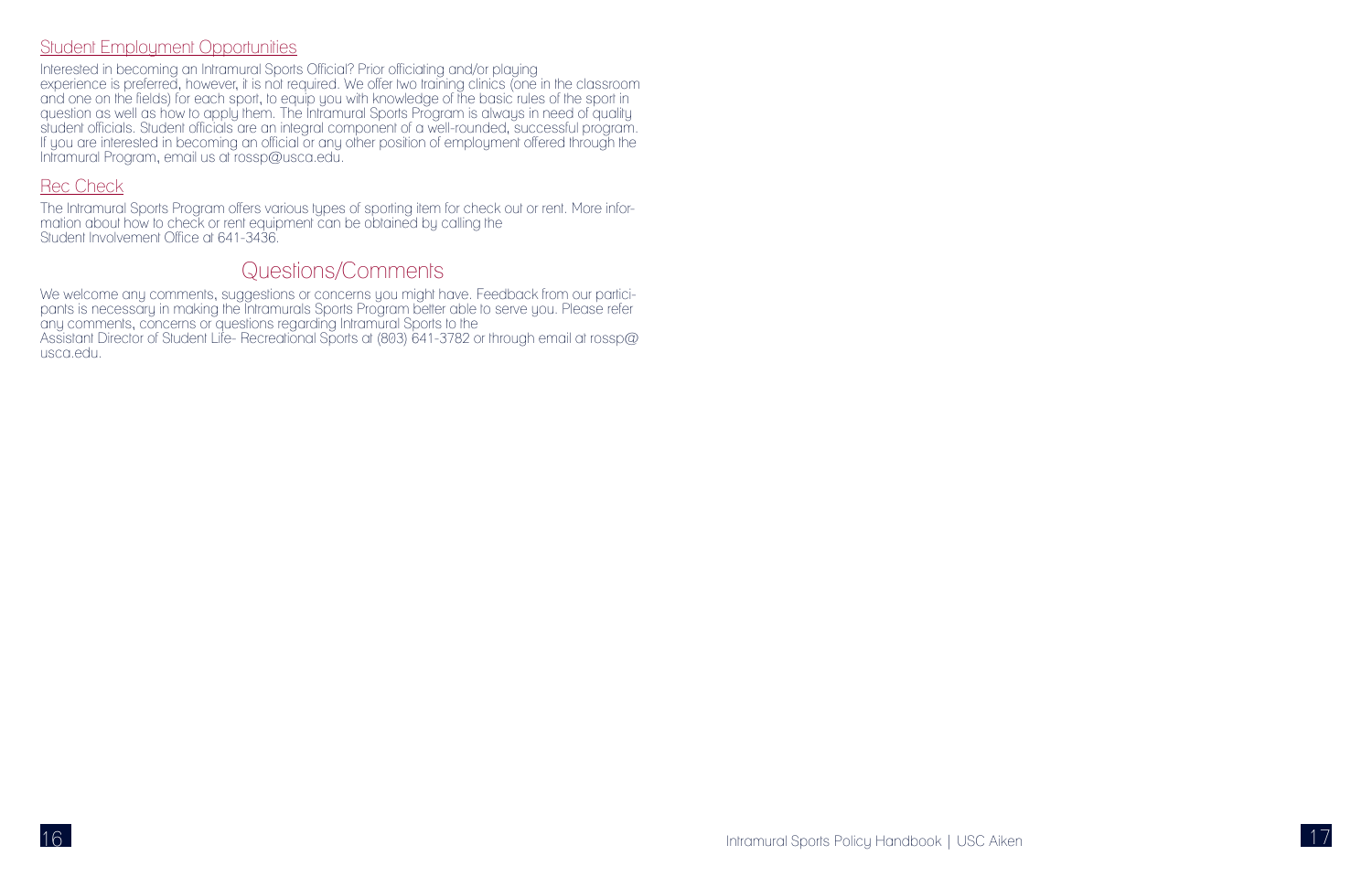



## Student Employment Opportunities

Interested in becoming an Intramural Sports Official? Prior officiating and/or playing experience is preferred, however, it is not required. We offer two training clinics (one in the classroom and one on the fields) for each sport, to equip you with knowledge of the basic rules of the sport in question as well as how to apply them. The Intramural Sports Program is always in need of quality student officials. Student officials are an integral component of a well-rounded, successful program. If you are interested in becoming an official or any other position of employment offered through the Intramural Program, email us at rossp@usca.edu.

## Rec Check

The Intramural Sports Program offers various types of sporting item for check out or rent. More information about how to check or rent equipment can be obtained by calling the Student Involvement Office at 641-3436.

## Questions/Comments

We welcome any comments, suggestions or concerns you might have. Feedback from our participants is necessary in making the Intramurals Sports Program better able to serve you. Please refer any comments, concerns or questions regarding Intramural Sports to the Assistant Director of Student Life- Recreational Sports at (803) 641-3782 or through email at rossp@ usca.edu.